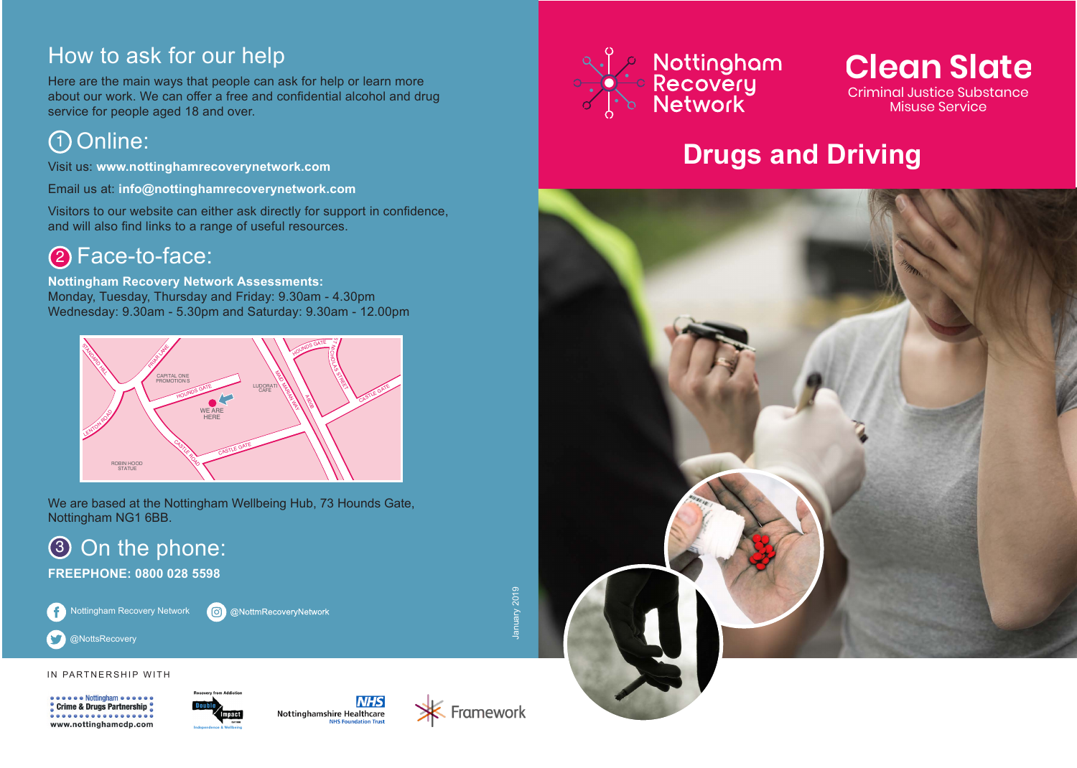## How to ask for our help

Here are the main ways that people can ask for help or learn more about our work. We can offer a free and confidential alcohol and drug service for people aged 18 and over.

## Online: 1

Visit us: **www.nottinghamrecoverynetwork.com**

Email us at: **info@nottinghamrecoverynetwork.com**

Visitors to our website can either ask directly for support in confidence, and will also find links to a range of useful resources.

## 2 Face-to-face:

**Nottingham Recovery Network Assessments:**  Monday, Tuesday, Thursday and Friday: 9.30am - 4.30pm Wednesday: 9.30am - 5.30pm and Saturday: 9.30am - 12.00pm



We are based at the Nottingham Wellbeing Hub, 73 Hounds Gate, Nottingham NG1 6BB.

# 3 On the phone:

**FREEPHONE: 0800 028 5598**

Nottingham Recovery Network C @NottmRecoveryNetwork January 2019

IN PARTNERSHIP WITH

@NottsRecovery

 $\blacktriangleright$ 

<sup>o</sup> Crime & Drugs Partnership . . . . . . . . . . . . . . . . . www.nottinghamcdp.com









### **Clean Slate** Criminal Justice Substance Misuse Service

## **Drugs and Driving**